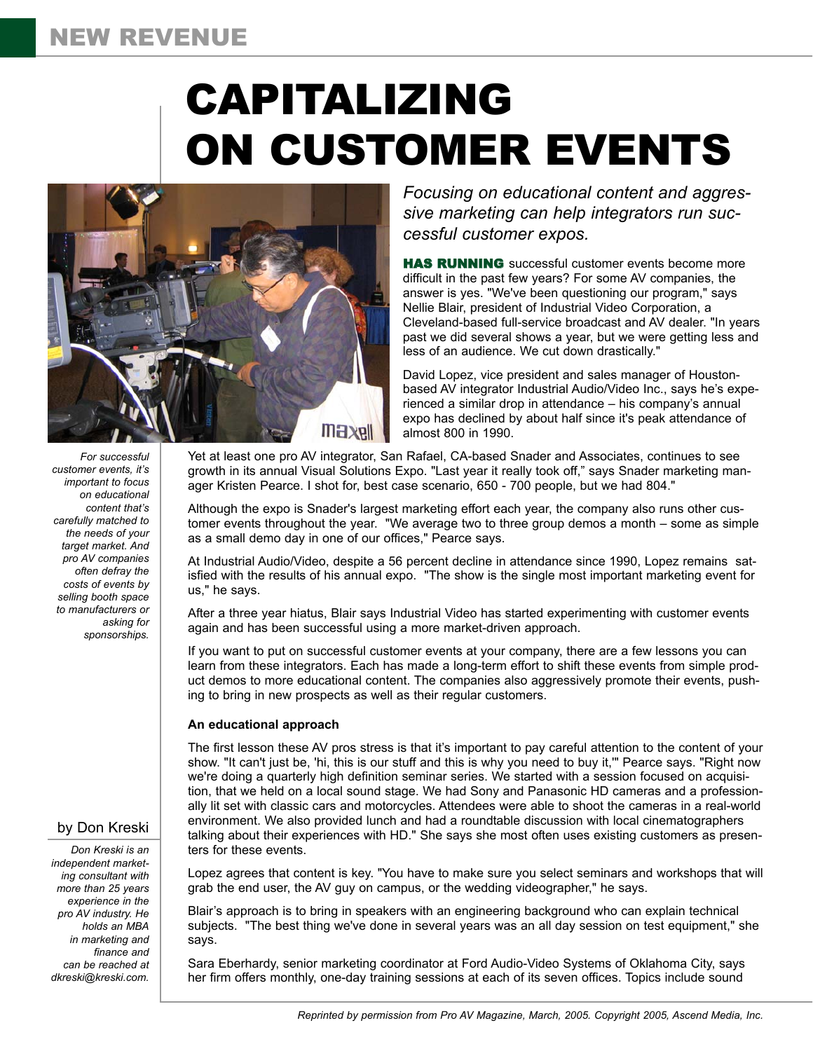# NEW REVENUE

# CAPITALIZING ON CUSTOMER EVENTS



*For successful customer events, it's important to focus on educational content that's carefully matched to the needs of your target market. And pro AV companies often defray the costs of events by selling booth space to manufacturers or asking for sponsorships.*

# by Don Kreski

*Don Kreski is an independent marketing consultant with more than 25 years experience in the pro AV industry. He holds an MBA in marketing and finance and can be reached at dkreski@kreski.com.*

*Focusing on educational content and aggressive marketing can help integrators run successful customer expos.*

**HAS RUNNING** successful customer events become more difficult in the past few years? For some AV companies, the answer is yes. "We've been questioning our program," says Nellie Blair, president of Industrial Video Corporation, a Cleveland-based full-service broadcast and AV dealer. "In years past we did several shows a year, but we were getting less and less of an audience. We cut down drastically."

David Lopez, vice president and sales manager of Houstonbased AV integrator Industrial Audio/Video Inc., says he's experienced a similar drop in attendance – his company's annual expo has declined by about half since it's peak attendance of almost 800 in 1990.

Yet at least one pro AV integrator, San Rafael, CA-based Snader and Associates, continues to see growth in its annual Visual Solutions Expo. "Last year it really took off," says Snader marketing manager Kristen Pearce. I shot for, best case scenario, 650 - 700 people, but we had 804."

Although the expo is Snader's largest marketing effort each year, the company also runs other customer events throughout the year. "We average two to three group demos a month – some as simple as a small demo day in one of our offices," Pearce says.

At Industrial Audio/Video, despite a 56 percent decline in attendance since 1990, Lopez remains satisfied with the results of his annual expo. "The show is the single most important marketing event for us," he says.

After a three year hiatus, Blair says Industrial Video has started experimenting with customer events again and has been successful using a more market-driven approach.

If you want to put on successful customer events at your company, there are a few lessons you can learn from these integrators. Each has made a long-term effort to shift these events from simple product demos to more educational content. The companies also aggressively promote their events, pushing to bring in new prospects as well as their regular customers.

#### **An educational approach**

The first lesson these AV pros stress is that it's important to pay careful attention to the content of your show. "It can't just be, 'hi, this is our stuff and this is why you need to buy it,'" Pearce says. "Right now we're doing a quarterly high definition seminar series. We started with a session focused on acquisition, that we held on a local sound stage. We had Sony and Panasonic HD cameras and a professionally lit set with classic cars and motorcycles. Attendees were able to shoot the cameras in a real-world environment. We also provided lunch and had a roundtable discussion with local cinematographers talking about their experiences with HD." She says she most often uses existing customers as presenters for these events.

Lopez agrees that content is key. "You have to make sure you select seminars and workshops that will grab the end user, the AV guy on campus, or the wedding videographer," he says.

Blair's approach is to bring in speakers with an engineering background who can explain technical subjects. "The best thing we've done in several years was an all day session on test equipment," she says.

Sara Eberhardy, senior marketing coordinator at Ford Audio-Video Systems of Oklahoma City, says her firm offers monthly, one-day training sessions at each of its seven offices. Topics include sound